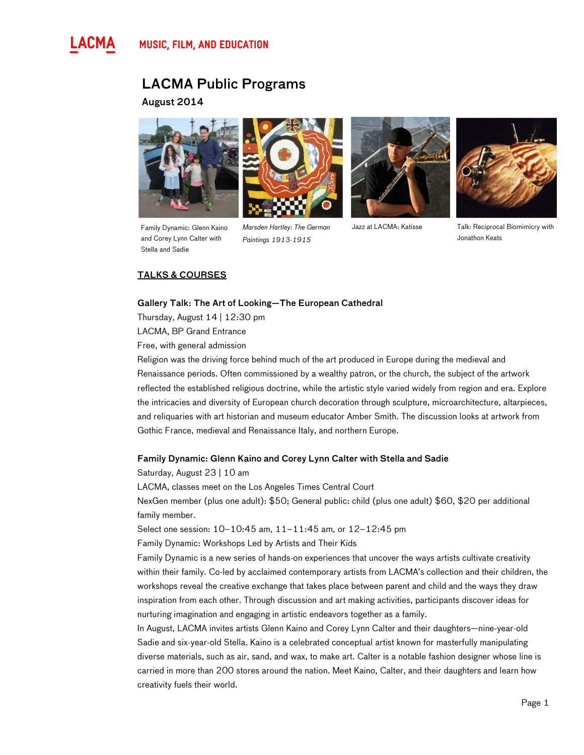

# LACMA Public Programs

August 2014



and Corey Lynn Calter with Stella and Sadie



Family Dynamic: Glenn Kaino Marsden Hartley: The German Jazz at LACMA: Katisse Marsden Hartley: The German Paintings 1913-1915





Talk: Reciprocal Biomimicry with Jonathon Keats

# TALKS & COURSES

# Gallery Talk: The Art of Looking—The European Cathedral

Thursday, August 14 | 12:30 pm

LACMA, BP Grand Entrance

Free, with general admission

Religion was the driving force behind much of the art produced in Europe during the medieval and Renaissance periods. Often commissioned by a wealthy patron, or the church, the subject of the artwork reflected the established religious doctrine, while the artistic style varied widely from region and era. Explore the intricacies and diversity of European church decoration through sculpture, microarchitecture, altarpieces, and reliquaries with art historian and museum educator Amber Smith. The discussion looks at artwork from Gothic France, medieval and Renaissance Italy, and northern Europe.

# Family Dynamic: Glenn Kaino and Corey Lynn Calter with Stella and Sadie

Saturday, August 23 | 10 am

LACMA, classes meet on the Los Angeles Times Central Court

NexGen member (plus one adult): \$50; General public: child (plus one adult) \$60, \$20 per additional family member.

Select one session: 10–10:45 am, 11–11:45 am, or 12–12:45 pm

Family Dynamic: Workshops Led by Artists and Their Kids

Family Dynamic is a new series of hands-on experiences that uncover the ways artists cultivate creativity within their family. Co-led by acclaimed contemporary artists from LACMA's collection and their children, the workshops reveal the creative exchange that takes place between parent and child and the ways they draw inspiration from each other. Through discussion and art making activities, participants discover ideas for nurturing imagination and engaging in artistic endeavors together as a family.

In August, LACMA invites artists Glenn Kaino and Corey Lynn Calter and their daughters—nine-year-old Sadie and six-year-old Stella. Kaino is a celebrated conceptual artist known for masterfully manipulating diverse materials, such as air, sand, and wax, to make art. Calter is a notable fashion designer whose line is carried in more than 200 stores around the nation. Meet Kaino, Calter, and their daughters and learn how creativity fuels their world.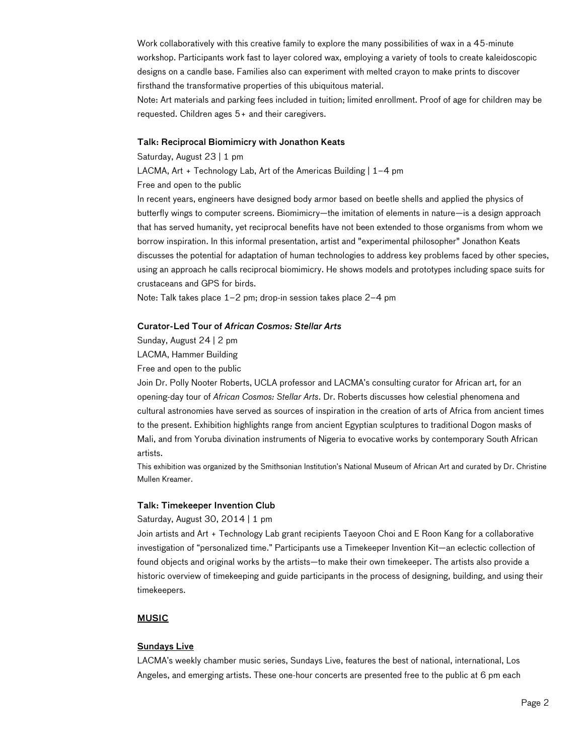Work collaboratively with this creative family to explore the many possibilities of wax in a 45-minute workshop. Participants work fast to layer colored wax, employing a variety of tools to create kaleidoscopic designs on a candle base. Families also can experiment with melted crayon to make prints to discover firsthand the transformative properties of this ubiquitous material.

Note: Art materials and parking fees included in tuition; limited enrollment. Proof of age for children may be requested. Children ages 5+ and their caregivers.

### Talk: Reciprocal Biomimicry with Jonathon Keats

Saturday, August 23 | 1 pm

LACMA, Art + Technology Lab, Art of the Americas Building | 1–4 pm

Free and open to the public

In recent years, engineers have designed body armor based on beetle shells and applied the physics of butterfly wings to computer screens. Biomimicry—the imitation of elements in nature—is a design approach that has served humanity, yet reciprocal benefits have not been extended to those organisms from whom we borrow inspiration. In this informal presentation, artist and "experimental philosopher" Jonathon Keats discusses the potential for adaptation of human technologies to address key problems faced by other species, using an approach he calls reciprocal biomimicry. He shows models and prototypes including space suits for crustaceans and GPS for birds.

Note: Talk takes place 1–2 pm; drop-in session takes place 2–4 pm

# Curator-Led Tour of African Cosmos: Stellar Arts

Sunday, August 24 | 2 pm

LACMA, Hammer Building

Free and open to the public

Join Dr. Polly Nooter Roberts, UCLA professor and LACMA's consulting curator for African art, for an opening-day tour of African Cosmos: Stellar Arts. Dr. Roberts discusses how celestial phenomena and cultural astronomies have served as sources of inspiration in the creation of arts of Africa from ancient times to the present. Exhibition highlights range from ancient Egyptian sculptures to traditional Dogon masks of Mali, and from Yoruba divination instruments of Nigeria to evocative works by contemporary South African artists.

This exhibition was organized by the Smithsonian Institution's National Museum of African Art and curated by Dr. Christine Mullen Kreamer.

# Talk: Timekeeper Invention Club

### Saturday, August 30, 2014 | 1 pm

Join artists and Art + Technology Lab grant recipients Taeyoon Choi and E Roon Kang for a collaborative investigation of "personalized time." Participants use a Timekeeper Invention Kit—an eclectic collection of found objects and original works by the artists—to make their own timekeeper. The artists also provide a historic overview of timekeeping and guide participants in the process of designing, building, and using their timekeepers.

# **MUSIC**

# Sundays Live

LACMA's weekly chamber music series, Sundays Live, features the best of national, international, Los Angeles, and emerging artists. These one-hour concerts are presented free to the public at 6 pm each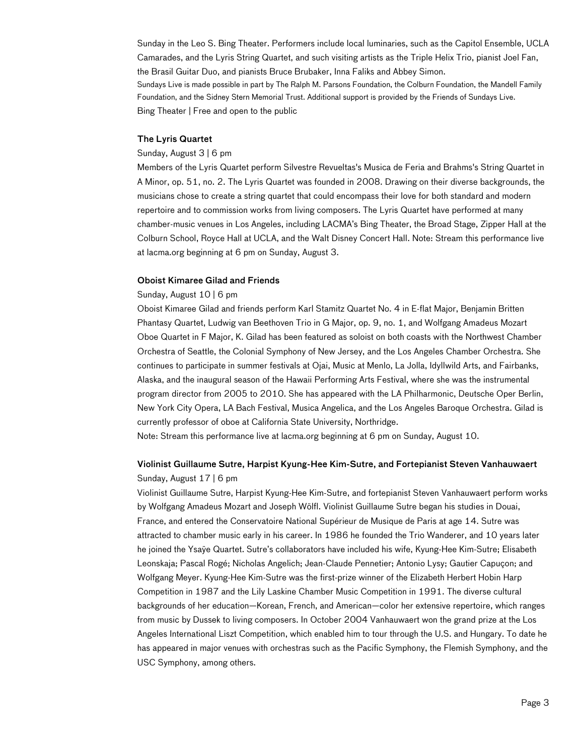Sunday in the Leo S. Bing Theater. Performers include local luminaries, such as the Capitol Ensemble, UCLA Camarades, and the Lyris String Quartet, and such visiting artists as the Triple Helix Trio, pianist Joel Fan, the Brasil Guitar Duo, and pianists Bruce Brubaker, Inna Faliks and Abbey Simon. Sundays Live is made possible in part by The Ralph M. Parsons Foundation, the Colburn Foundation, the Mandell Family Foundation, and the Sidney Stern Memorial Trust. Additional support is provided by the Friends of Sundays Live. Bing Theater | Free and open to the public

### The Lyris Quartet

### Sunday, August 3 | 6 pm

Members of the Lyris Quartet perform Silvestre Revueltas's Musica de Feria and Brahms's String Quartet in A Minor, op. 51, no. 2. The Lyris Quartet was founded in 2008. Drawing on their diverse backgrounds, the musicians chose to create a string quartet that could encompass their love for both standard and modern repertoire and to commission works from living composers. The Lyris Quartet have performed at many chamber-music venues in Los Angeles, including LACMA's Bing Theater, the Broad Stage, Zipper Hall at the Colburn School, Royce Hall at UCLA, and the Walt Disney Concert Hall. Note: Stream this performance live at lacma.org beginning at 6 pm on Sunday, August 3.

### Oboist Kimaree Gilad and Friends

### Sunday, August 10 | 6 pm

Oboist Kimaree Gilad and friends perform Karl Stamitz Quartet No. 4 in E-flat Major, Benjamin Britten Phantasy Quartet, Ludwig van Beethoven Trio in G Major, op. 9, no. 1, and Wolfgang Amadeus Mozart Oboe Quartet in F Major, K. Gilad has been featured as soloist on both coasts with the Northwest Chamber Orchestra of Seattle, the Colonial Symphony of New Jersey, and the Los Angeles Chamber Orchestra. She continues to participate in summer festivals at Ojai, Music at Menlo, La Jolla, Idyllwild Arts, and Fairbanks, Alaska, and the inaugural season of the Hawaii Performing Arts Festival, where she was the instrumental program director from 2005 to 2010. She has appeared with the LA Philharmonic, Deutsche Oper Berlin, New York City Opera, LA Bach Festival, Musica Angelica, and the Los Angeles Baroque Orchestra. Gilad is currently professor of oboe at California State University, Northridge.

Note: Stream this performance live at lacma.org beginning at 6 pm on Sunday, August 10.

# Violinist Guillaume Sutre, Harpist Kyung-Hee Kim-Sutre, and Fortepianist Steven Vanhauwaert Sunday, August 17 | 6 pm

Violinist Guillaume Sutre, Harpist Kyung-Hee Kim-Sutre, and fortepianist Steven Vanhauwaert perform works by Wolfgang Amadeus Mozart and Joseph Wölfl. Violinist Guillaume Sutre began his studies in Douai, France, and entered the Conservatoire National Supérieur de Musique de Paris at age 14. Sutre was attracted to chamber music early in his career. In 1986 he founded the Trio Wanderer, and 10 years later he joined the Ysaÿe Quartet. Sutre's collaborators have included his wife, Kyung-Hee Kim-Sutre; Elisabeth Leonskaja; Pascal Rogé; Nicholas Angelich; Jean-Claude Pennetier; Antonio Lysy; Gautier Capuçon; and Wolfgang Meyer. Kyung-Hee Kim-Sutre was the first-prize winner of the Elizabeth Herbert Hobin Harp Competition in 1987 and the Lily Laskine Chamber Music Competition in 1991. The diverse cultural backgrounds of her education—Korean, French, and American—color her extensive repertoire, which ranges from music by Dussek to living composers. In October 2004 Vanhauwaert won the grand prize at the Los Angeles International Liszt Competition, which enabled him to tour through the U.S. and Hungary. To date he has appeared in major venues with orchestras such as the Pacific Symphony, the Flemish Symphony, and the USC Symphony, among others.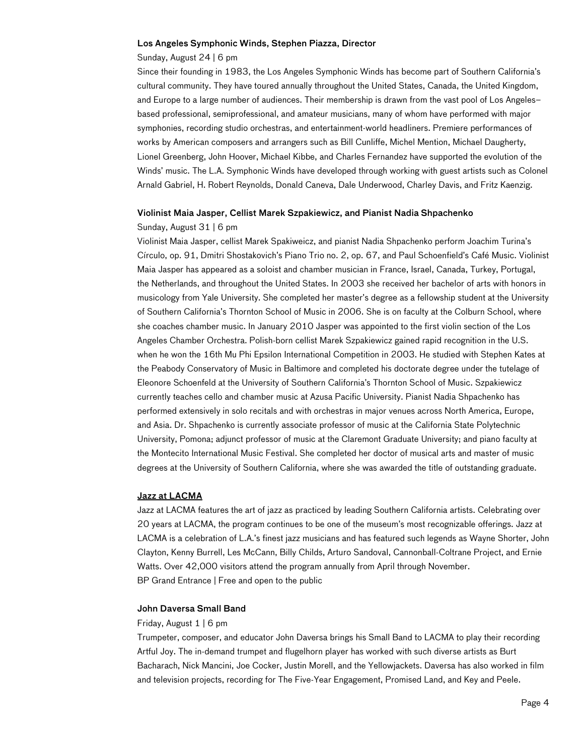### Los Angeles Symphonic Winds, Stephen Piazza, Director

Sunday, August 24 | 6 pm

Since their founding in 1983, the Los Angeles Symphonic Winds has become part of Southern California's cultural community. They have toured annually throughout the United States, Canada, the United Kingdom, and Europe to a large number of audiences. Their membership is drawn from the vast pool of Los Angeles– based professional, semiprofessional, and amateur musicians, many of whom have performed with major symphonies, recording studio orchestras, and entertainment-world headliners. Premiere performances of works by American composers and arrangers such as Bill Cunliffe, Michel Mention, Michael Daugherty, Lionel Greenberg, John Hoover, Michael Kibbe, and Charles Fernandez have supported the evolution of the Winds' music. The L.A. Symphonic Winds have developed through working with guest artists such as Colonel Arnald Gabriel, H. Robert Reynolds, Donald Caneva, Dale Underwood, Charley Davis, and Fritz Kaenzig.

#### Violinist Maia Jasper, Cellist Marek Szpakiewicz, and Pianist Nadia Shpachenko

#### Sunday, August 31 | 6 pm

Violinist Maia Jasper, cellist Marek Spakiweicz, and pianist Nadia Shpachenko perform Joachim Turina's Círculo, op. 91, Dmitri Shostakovich's Piano Trio no. 2, op. 67, and Paul Schoenfield's Café Music. Violinist Maia Jasper has appeared as a soloist and chamber musician in France, Israel, Canada, Turkey, Portugal, the Netherlands, and throughout the United States. In 2003 she received her bachelor of arts with honors in musicology from Yale University. She completed her master's degree as a fellowship student at the University of Southern California's Thornton School of Music in 2006. She is on faculty at the Colburn School, where she coaches chamber music. In January 2010 Jasper was appointed to the first violin section of the Los Angeles Chamber Orchestra. Polish-born cellist Marek Szpakiewicz gained rapid recognition in the U.S. when he won the 16th Mu Phi Epsilon International Competition in 2003. He studied with Stephen Kates at the Peabody Conservatory of Music in Baltimore and completed his doctorate degree under the tutelage of Eleonore Schoenfeld at the University of Southern California's Thornton School of Music. Szpakiewicz currently teaches cello and chamber music at Azusa Pacific University. Pianist Nadia Shpachenko has performed extensively in solo recitals and with orchestras in major venues across North America, Europe, and Asia. Dr. Shpachenko is currently associate professor of music at the California State Polytechnic University, Pomona; adjunct professor of music at the Claremont Graduate University; and piano faculty at the Montecito International Music Festival. She completed her doctor of musical arts and master of music degrees at the University of Southern California, where she was awarded the title of outstanding graduate.

#### Jazz at LACMA

Jazz at LACMA features the art of jazz as practiced by leading Southern California artists. Celebrating over 20 years at LACMA, the program continues to be one of the museum's most recognizable offerings. Jazz at LACMA is a celebration of L.A.'s finest jazz musicians and has featured such legends as Wayne Shorter, John Clayton, Kenny Burrell, Les McCann, Billy Childs, Arturo Sandoval, Cannonball-Coltrane Project, and Ernie Watts. Over 42,000 visitors attend the program annually from April through November. BP Grand Entrance | Free and open to the public

### John Daversa Small Band

### Friday, August 1 | 6 pm

Trumpeter, composer, and educator John Daversa brings his Small Band to LACMA to play their recording Artful Joy. The in-demand trumpet and flugelhorn player has worked with such diverse artists as Burt Bacharach, Nick Mancini, Joe Cocker, Justin Morell, and the Yellowjackets. Daversa has also worked in film and television projects, recording for The Five-Year Engagement, Promised Land, and Key and Peele.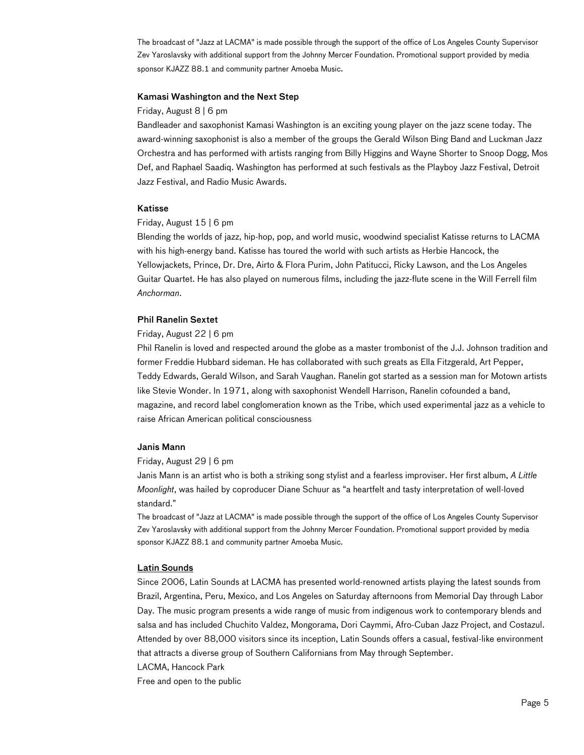The broadcast of "Jazz at LACMA" is made possible through the support of the office of Los Angeles County Supervisor Zev Yaroslavsky with additional support from the Johnny Mercer Foundation. Promotional support provided by media sponsor KJAZZ 88.1 and community partner Amoeba Music.

### Kamasi Washington and the Next Step

### Friday, August 8 | 6 pm

Bandleader and saxophonist Kamasi Washington is an exciting young player on the jazz scene today. The award-winning saxophonist is also a member of the groups the Gerald Wilson Bing Band and Luckman Jazz Orchestra and has performed with artists ranging from Billy Higgins and Wayne Shorter to Snoop Dogg, Mos Def, and Raphael Saadiq. Washington has performed at such festivals as the Playboy Jazz Festival, Detroit Jazz Festival, and Radio Music Awards.

### Katisse

#### Friday, August 15 | 6 pm

Blending the worlds of jazz, hip-hop, pop, and world music, woodwind specialist Katisse returns to LACMA with his high-energy band. Katisse has toured the world with such artists as Herbie Hancock, the Yellowjackets, Prince, Dr. Dre, Airto & Flora Purim, John Patitucci, Ricky Lawson, and the Los Angeles Guitar Quartet. He has also played on numerous films, including the jazz-flute scene in the Will Ferrell film Anchorman.

### Phil Ranelin Sextet

### Friday, August 22 | 6 pm

Phil Ranelin is loved and respected around the globe as a master trombonist of the J.J. Johnson tradition and former Freddie Hubbard sideman. He has collaborated with such greats as Ella Fitzgerald, Art Pepper, Teddy Edwards, Gerald Wilson, and Sarah Vaughan. Ranelin got started as a session man for Motown artists like Stevie Wonder. In 1971, along with saxophonist Wendell Harrison, Ranelin cofounded a band, magazine, and record label conglomeration known as the Tribe, which used experimental jazz as a vehicle to raise African American political consciousness

#### Janis Mann

### Friday, August 29 | 6 pm

Janis Mann is an artist who is both a striking song stylist and a fearless improviser. Her first album, A Little Moonlight, was hailed by coproducer Diane Schuur as "a heartfelt and tasty interpretation of well-loved standard."

The broadcast of "Jazz at LACMA" is made possible through the support of the office of Los Angeles County Supervisor Zev Yaroslavsky with additional support from the Johnny Mercer Foundation. Promotional support provided by media sponsor KJAZZ 88.1 and community partner Amoeba Music.

# Latin Sounds

Since 2006, Latin Sounds at LACMA has presented world-renowned artists playing the latest sounds from Brazil, Argentina, Peru, Mexico, and Los Angeles on Saturday afternoons from Memorial Day through Labor Day. The music program presents a wide range of music from indigenous work to contemporary blends and salsa and has included Chuchito Valdez, Mongorama, Dori Caymmi, Afro-Cuban Jazz Project, and Costazul. Attended by over 88,000 visitors since its inception, Latin Sounds offers a casual, festival-like environment that attracts a diverse group of Southern Californians from May through September.

LACMA, Hancock Park

Free and open to the public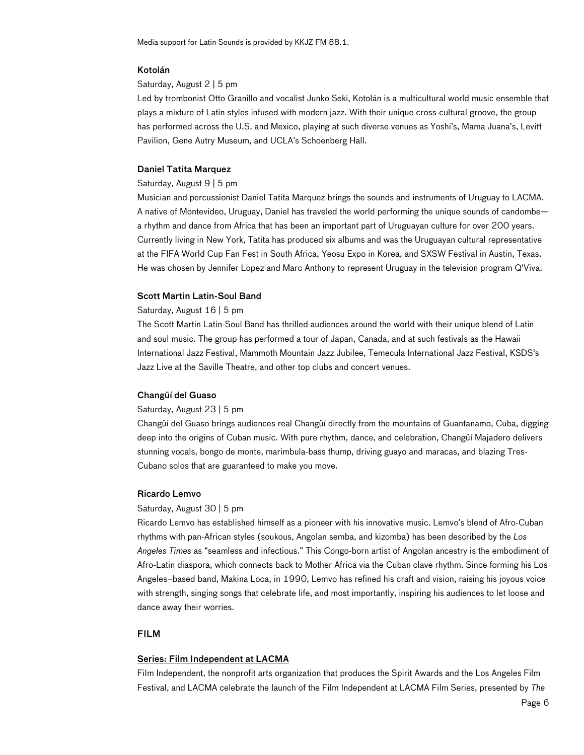Media support for Latin Sounds is provided by KKJZ FM 88.1.

### Kotolán

### Saturday, August 2 | 5 pm

Led by trombonist Otto Granillo and vocalist Junko Seki, Kotolán is a multicultural world music ensemble that plays a mixture of Latin styles infused with modern jazz. With their unique cross-cultural groove, the group has performed across the U.S. and Mexico, playing at such diverse venues as Yoshi's, Mama Juana's, Levitt Pavilion, Gene Autry Museum, and UCLA's Schoenberg Hall.

### Daniel Tatita Marquez

# Saturday, August 9 | 5 pm

Musician and percussionist Daniel Tatita Marquez brings the sounds and instruments of Uruguay to LACMA. A native of Montevideo, Uruguay, Daniel has traveled the world performing the unique sounds of candombe a rhythm and dance from Africa that has been an important part of Uruguayan culture for over 200 years. Currently living in New York, Tatita has produced six albums and was the Uruguayan cultural representative at the FIFA World Cup Fan Fest in South Africa, Yeosu Expo in Korea, and SXSW Festival in Austin, Texas. He was chosen by Jennifer Lopez and Marc Anthony to represent Uruguay in the television program Q'Viva.

### Scott Martin Latin-Soul Band

#### Saturday, August 16 | 5 pm

The Scott Martin Latin-Soul Band has thrilled audiences around the world with their unique blend of Latin and soul music. The group has performed a tour of Japan, Canada, and at such festivals as the Hawaii International Jazz Festival, Mammoth Mountain Jazz Jubilee, Temecula International Jazz Festival, KSDS's Jazz Live at the Saville Theatre, and other top clubs and concert venues.

### Changüí del Guaso

#### Saturday, August 23 | 5 pm

Changüí del Guaso brings audiences real Changüí directly from the mountains of Guantanamo, Cuba, digging deep into the origins of Cuban music. With pure rhythm, dance, and celebration, Changüí Majadero delivers stunning vocals, bongo de monte, marimbula-bass thump, driving guayo and maracas, and blazing Tres-Cubano solos that are guaranteed to make you move.

### Ricardo Lemvo

#### Saturday, August 30 | 5 pm

Ricardo Lemvo has established himself as a pioneer with his innovative music. Lemvo's blend of Afro-Cuban rhythms with pan-African styles (soukous, Angolan semba, and kizomba) has been described by the Los Angeles Times as "seamless and infectious." This Congo-born artist of Angolan ancestry is the embodiment of Afro-Latin diaspora, which connects back to Mother Africa via the Cuban clave rhythm. Since forming his Los Angeles–based band, Makina Loca, in 1990, Lemvo has refined his craft and vision, raising his joyous voice with strength, singing songs that celebrate life, and most importantly, inspiring his audiences to let loose and dance away their worries.

# **FILM**

### Series: Film Independent at LACMA

Film Independent, the nonprofit arts organization that produces the Spirit Awards and the Los Angeles Film Festival, and LACMA celebrate the launch of the Film Independent at LACMA Film Series, presented by The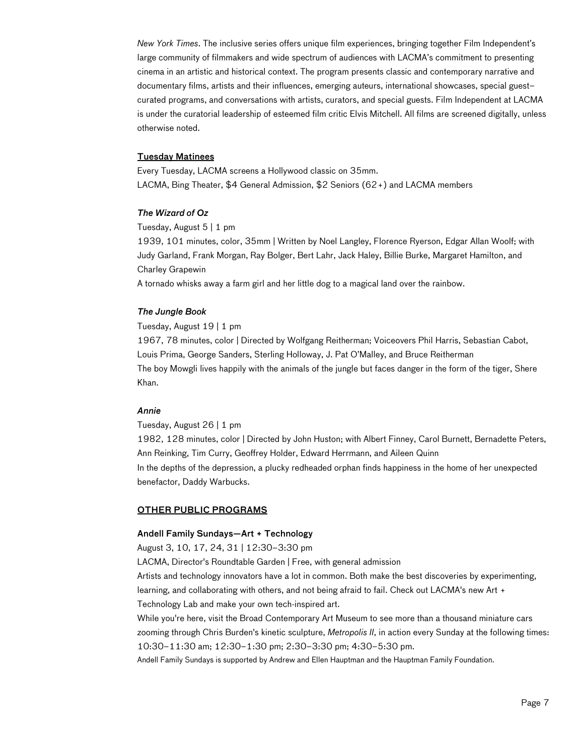New York Times. The inclusive series offers unique film experiences, bringing together Film Independent's large community of filmmakers and wide spectrum of audiences with LACMA's commitment to presenting cinema in an artistic and historical context. The program presents classic and contemporary narrative and documentary films, artists and their influences, emerging auteurs, international showcases, special guest– curated programs, and conversations with artists, curators, and special guests. Film Independent at LACMA is under the curatorial leadership of esteemed film critic Elvis Mitchell. All films are screened digitally, unless otherwise noted.

# Tuesday Matinees

Every Tuesday, LACMA screens a Hollywood classic on 35mm. LACMA, Bing Theater, \$4 General Admission, \$2 Seniors (62+) and LACMA members

### The Wizard of Oz

Tuesday, August 5 | 1 pm

1939, 101 minutes, color, 35mm | Written by Noel Langley, Florence Ryerson, Edgar Allan Woolf; with Judy Garland, Frank Morgan, Ray Bolger, Bert Lahr, Jack Haley, Billie Burke, Margaret Hamilton, and Charley Grapewin

A tornado whisks away a farm girl and her little dog to a magical land over the rainbow.

# The Jungle Book

Tuesday, August 19 | 1 pm

1967, 78 minutes, color | Directed by Wolfgang Reitherman; Voiceovers Phil Harris, Sebastian Cabot, Louis Prima, George Sanders, Sterling Holloway, J. Pat O'Malley, and Bruce Reitherman The boy Mowgli lives happily with the animals of the jungle but faces danger in the form of the tiger, Shere Khan.

### Annie

Tuesday, August 26 | 1 pm

1982, 128 minutes, color | Directed by John Huston; with Albert Finney, Carol Burnett, Bernadette Peters, Ann Reinking, Tim Curry, Geoffrey Holder, Edward Herrmann, and Aileen Quinn

In the depths of the depression, a plucky redheaded orphan finds happiness in the home of her unexpected benefactor, Daddy Warbucks.

### OTHER PUBLIC PROGRAMS

# Andell Family Sundays—Art + Technology

August 3, 10, 17, 24, 31 | 12:30–3:30 pm

LACMA, Director's Roundtable Garden | Free, with general admission

Artists and technology innovators have a lot in common. Both make the best discoveries by experimenting, learning, and collaborating with others, and not being afraid to fail. Check out LACMA's new Art + Technology Lab and make your own tech-inspired art.

While you're here, visit the Broad Contemporary Art Museum to see more than a thousand miniature cars zooming through Chris Burden's kinetic sculpture, Metropolis II, in action every Sunday at the following times: 10:30–11:30 am; 12:30–1:30 pm; 2:30–3:30 pm; 4:30–5:30 pm.

Andell Family Sundays is supported by Andrew and Ellen Hauptman and the Hauptman Family Foundation.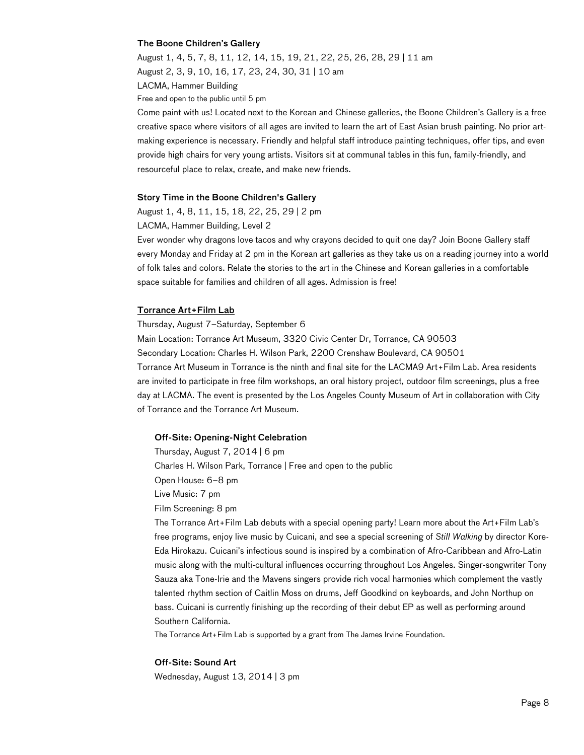### The Boone Children's Gallery

August 1, 4, 5, 7, 8, 11, 12, 14, 15, 19, 21, 22, 25, 26, 28, 29 | 11 am August 2, 3, 9, 10, 16, 17, 23, 24, 30, 31 | 10 am

LACMA, Hammer Building

Free and open to the public until 5 pm

Come paint with us! Located next to the Korean and Chinese galleries, the Boone Children's Gallery is a free creative space where visitors of all ages are invited to learn the art of East Asian brush painting. No prior artmaking experience is necessary. Friendly and helpful staff introduce painting techniques, offer tips, and even provide high chairs for very young artists. Visitors sit at communal tables in this fun, family-friendly, and resourceful place to relax, create, and make new friends.

### Story Time in the Boone Children's Gallery

August 1, 4, 8, 11, 15, 18, 22, 25, 29 | 2 pm

LACMA, Hammer Building, Level 2

Ever wonder why dragons love tacos and why crayons decided to quit one day? Join Boone Gallery staff every Monday and Friday at 2 pm in the Korean art galleries as they take us on a reading journey into a world of folk tales and colors. Relate the stories to the art in the Chinese and Korean galleries in a comfortable space suitable for families and children of all ages. Admission is free!

### Torrance Art+Film Lab

Thursday, August 7–Saturday, September 6 Main Location: Torrance Art Museum, 3320 Civic Center Dr, Torrance, CA 90503 Secondary Location: Charles H. Wilson Park, 2200 Crenshaw Boulevard, CA 90501 Torrance Art Museum in Torrance is the ninth and final site for the LACMA9 Art+Film Lab. Area residents are invited to participate in free film workshops, an oral history project, outdoor film screenings, plus a free day at LACMA. The event is presented by the Los Angeles County Museum of Art in collaboration with City of Torrance and the Torrance Art Museum.

### Off-Site: Opening-Night Celebration

Thursday, August 7, 2014 | 6 pm Charles H. Wilson Park, Torrance | Free and open to the public Open House: 6–8 pm Live Music: 7 pm Film Screening: 8 pm The Torrance Art+Film Lab debuts with a special opening party! Learn more about the Art+Film Lab's free programs, enjoy live music by Cuicani, and see a special screening of Still Walking by director Kore-Eda Hirokazu. Cuicani's infectious sound is inspired by a combination of Afro-Caribbean and Afro-Latin music along with the multi-cultural influences occurring throughout Los Angeles. Singer-songwriter Tony

Sauza aka Tone-Irie and the Mavens singers provide rich vocal harmonies which complement the vastly talented rhythm section of Caitlin Moss on drums, Jeff Goodkind on keyboards, and John Northup on bass. Cuicani is currently finishing up the recording of their debut EP as well as performing around Southern California.

The Torrance Art+Film Lab is supported by a grant from The James Irvine Foundation.

#### Off-Site: Sound Art

Wednesday, August 13, 2014 | 3 pm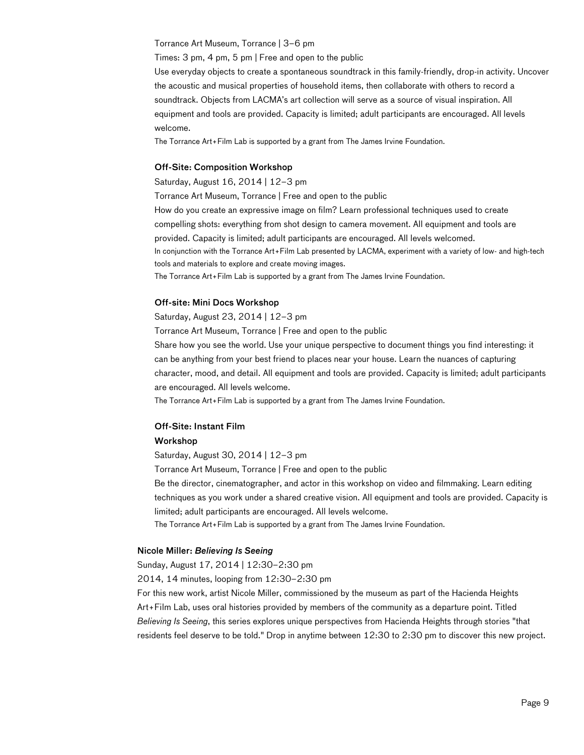### Torrance Art Museum, Torrance | 3–6 pm

Times: 3 pm, 4 pm, 5 pm | Free and open to the public

Use everyday objects to create a spontaneous soundtrack in this family-friendly, drop-in activity. Uncover the acoustic and musical properties of household items, then collaborate with others to record a soundtrack. Objects from LACMA's art collection will serve as a source of visual inspiration. All equipment and tools are provided. Capacity is limited; adult participants are encouraged. All levels welcome.

The Torrance Art+Film Lab is supported by a grant from The James Irvine Foundation.

### Off-Site: Composition Workshop

Saturday, August 16, 2014 | 12–3 pm

Torrance Art Museum, Torrance | Free and open to the public

How do you create an expressive image on film? Learn professional techniques used to create compelling shots: everything from shot design to camera movement. All equipment and tools are provided. Capacity is limited; adult participants are encouraged. All levels welcomed. In conjunction with the Torrance Art+Film Lab presented by LACMA, experiment with a variety of low- and high-tech tools and materials to explore and create moving images.

The Torrance Art+Film Lab is supported by a grant from The James Irvine Foundation.

### Off-site: Mini Docs Workshop

Saturday, August 23, 2014 | 12–3 pm

Torrance Art Museum, Torrance | Free and open to the public

Share how you see the world. Use your unique perspective to document things you find interesting: it can be anything from your best friend to places near your house. Learn the nuances of capturing character, mood, and detail. All equipment and tools are provided. Capacity is limited; adult participants are encouraged. All levels welcome.

The Torrance Art+Film Lab is supported by a grant from The James Irvine Foundation.

### Off-Site: Instant Film

### Workshop

Saturday, August 30, 2014 | 12–3 pm

Torrance Art Museum, Torrance | Free and open to the public

Be the director, cinematographer, and actor in this workshop on video and filmmaking. Learn editing techniques as you work under a shared creative vision. All equipment and tools are provided. Capacity is limited; adult participants are encouraged. All levels welcome.

The Torrance Art+Film Lab is supported by a grant from The James Irvine Foundation.

### Nicole Miller: Believing Is Seeing

Sunday, August 17, 2014 | 12:30–2:30 pm

2014, 14 minutes, looping from 12:30–2:30 pm

For this new work, artist Nicole Miller, commissioned by the museum as part of the Hacienda Heights Art+Film Lab, uses oral histories provided by members of the community as a departure point. Titled Believing Is Seeing, this series explores unique perspectives from Hacienda Heights through stories "that residents feel deserve to be told." Drop in anytime between 12:30 to 2:30 pm to discover this new project.